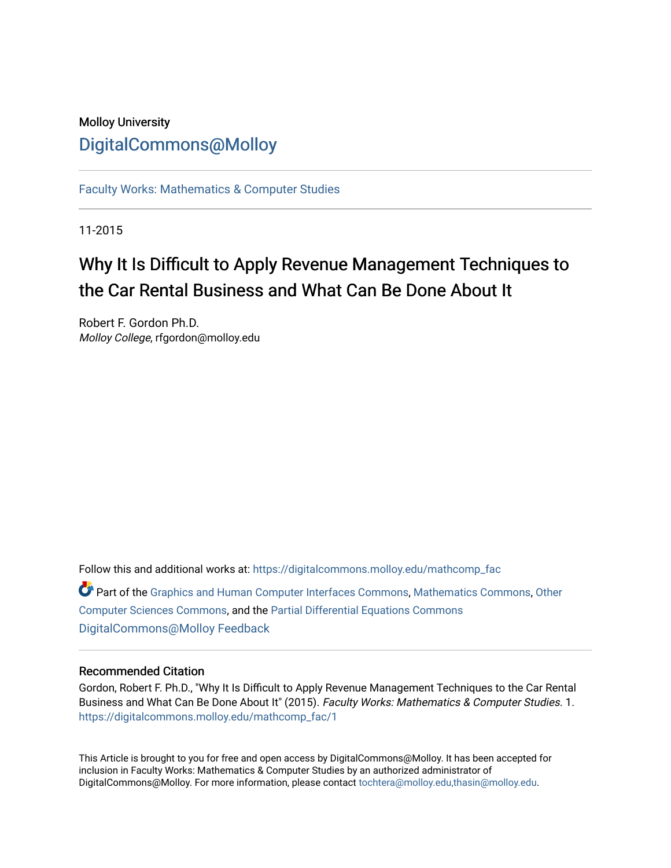### Molloy University [DigitalCommons@Molloy](https://digitalcommons.molloy.edu/)

[Faculty Works: Mathematics & Computer Studies](https://digitalcommons.molloy.edu/mathcomp_fac) 

11-2015

## Why It Is Difficult to Apply Revenue Management Techniques to the Car Rental Business and What Can Be Done About It

Robert F. Gordon Ph.D. Molloy College, rfgordon@molloy.edu

Follow this and additional works at: [https://digitalcommons.molloy.edu/mathcomp\\_fac](https://digitalcommons.molloy.edu/mathcomp_fac?utm_source=digitalcommons.molloy.edu%2Fmathcomp_fac%2F1&utm_medium=PDF&utm_campaign=PDFCoverPages) Part of the [Graphics and Human Computer Interfaces Commons,](https://network.bepress.com/hgg/discipline/146?utm_source=digitalcommons.molloy.edu%2Fmathcomp_fac%2F1&utm_medium=PDF&utm_campaign=PDFCoverPages) [Mathematics Commons,](https://network.bepress.com/hgg/discipline/174?utm_source=digitalcommons.molloy.edu%2Fmathcomp_fac%2F1&utm_medium=PDF&utm_campaign=PDFCoverPages) [Other](https://network.bepress.com/hgg/discipline/152?utm_source=digitalcommons.molloy.edu%2Fmathcomp_fac%2F1&utm_medium=PDF&utm_campaign=PDFCoverPages)

[Computer Sciences Commons](https://network.bepress.com/hgg/discipline/152?utm_source=digitalcommons.molloy.edu%2Fmathcomp_fac%2F1&utm_medium=PDF&utm_campaign=PDFCoverPages), and the [Partial Differential Equations Commons](https://network.bepress.com/hgg/discipline/120?utm_source=digitalcommons.molloy.edu%2Fmathcomp_fac%2F1&utm_medium=PDF&utm_campaign=PDFCoverPages)  [DigitalCommons@Molloy Feedback](https://molloy.libwizard.com/f/dcfeedback)

#### Recommended Citation

Gordon, Robert F. Ph.D., "Why It Is Difficult to Apply Revenue Management Techniques to the Car Rental Business and What Can Be Done About It" (2015). Faculty Works: Mathematics & Computer Studies. 1. [https://digitalcommons.molloy.edu/mathcomp\\_fac/1](https://digitalcommons.molloy.edu/mathcomp_fac/1?utm_source=digitalcommons.molloy.edu%2Fmathcomp_fac%2F1&utm_medium=PDF&utm_campaign=PDFCoverPages)

This Article is brought to you for free and open access by DigitalCommons@Molloy. It has been accepted for inclusion in Faculty Works: Mathematics & Computer Studies by an authorized administrator of DigitalCommons@Molloy. For more information, please contact [tochtera@molloy.edu,thasin@molloy.edu.](mailto:tochtera@molloy.edu,thasin@molloy.edu)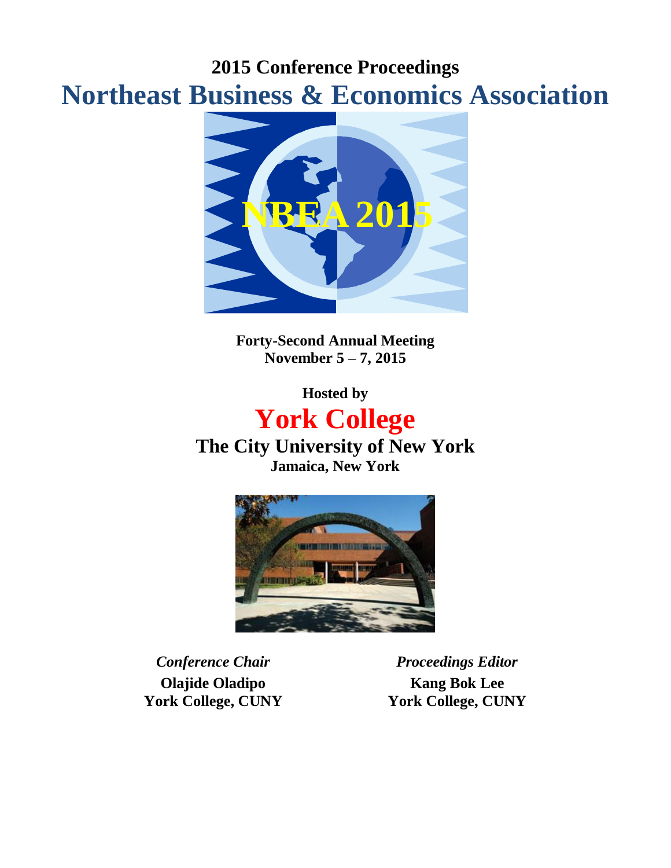## **2015 Conference Proceedings Northeast Business & Economics Association**



**Forty-Second Annual Meeting November 5 – 7, 2015**

**Hosted by**

# **York College**

**The City University of New York Jamaica, New York**



**Olajide Oladipo York College, CUNY**

*Conference Chair Proceedings Editor* **Kang Bok Lee York College, CUNY**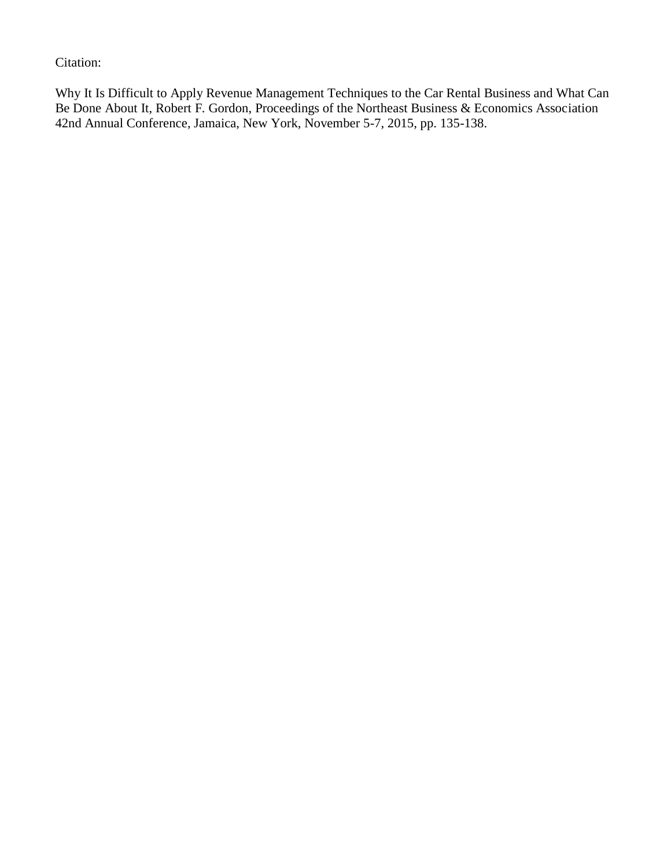Citation:

Why It Is Difficult to Apply Revenue Management Techniques to the Car Rental Business and What Can Be Done About It, Robert F. Gordon, Proceedings of the Northeast Business & Economics Association 42nd Annual Conference, Jamaica, New York, November 5-7, 2015, pp. 135-138.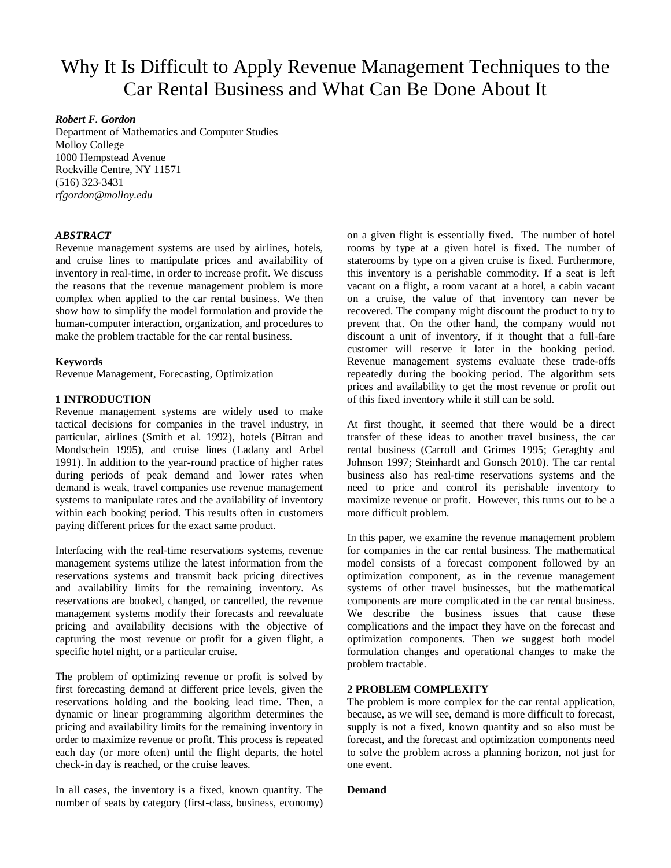## Why It Is Difficult to Apply Revenue Management Techniques to the Car Rental Business and What Can Be Done About It

#### *Robert F. Gordon*

Department of Mathematics and Computer Studies Molloy College 1000 Hempstead Avenue Rockville Centre, NY 11571 (516) 323-3431 *rfgordon@molloy.edu*

#### *ABSTRACT*

Revenue management systems are used by airlines, hotels, and cruise lines to manipulate prices and availability of inventory in real-time, in order to increase profit. We discuss the reasons that the revenue management problem is more complex when applied to the car rental business. We then show how to simplify the model formulation and provide the human-computer interaction, organization, and procedures to make the problem tractable for the car rental business.

#### **Keywords**

Revenue Management, Forecasting, Optimization

#### **1 INTRODUCTION**

Revenue management systems are widely used to make tactical decisions for companies in the travel industry, in particular, airlines (Smith et al. 1992), hotels (Bitran and Mondschein 1995), and cruise lines (Ladany and Arbel 1991). In addition to the year-round practice of higher rates during periods of peak demand and lower rates when demand is weak, travel companies use revenue management systems to manipulate rates and the availability of inventory within each booking period. This results often in customers paying different prices for the exact same product.

Interfacing with the real-time reservations systems, revenue management systems utilize the latest information from the reservations systems and transmit back pricing directives and availability limits for the remaining inventory. As reservations are booked, changed, or cancelled, the revenue management systems modify their forecasts and reevaluate pricing and availability decisions with the objective of capturing the most revenue or profit for a given flight, a specific hotel night, or a particular cruise.

The problem of optimizing revenue or profit is solved by first forecasting demand at different price levels, given the reservations holding and the booking lead time. Then, a dynamic or linear programming algorithm determines the pricing and availability limits for the remaining inventory in order to maximize revenue or profit. This process is repeated each day (or more often) until the flight departs, the hotel check-in day is reached, or the cruise leaves.

In all cases, the inventory is a fixed, known quantity. The number of seats by category (first-class, business, economy) on a given flight is essentially fixed. The number of hotel rooms by type at a given hotel is fixed. The number of staterooms by type on a given cruise is fixed. Furthermore, this inventory is a perishable commodity. If a seat is left vacant on a flight, a room vacant at a hotel, a cabin vacant on a cruise, the value of that inventory can never be recovered. The company might discount the product to try to prevent that. On the other hand, the company would not discount a unit of inventory, if it thought that a full-fare customer will reserve it later in the booking period. Revenue management systems evaluate these trade-offs repeatedly during the booking period. The algorithm sets prices and availability to get the most revenue or profit out of this fixed inventory while it still can be sold.

At first thought, it seemed that there would be a direct transfer of these ideas to another travel business, the car rental business (Carroll and Grimes 1995; Geraghty and Johnson 1997; Steinhardt and Gonsch 2010). The car rental business also has real-time reservations systems and the need to price and control its perishable inventory to maximize revenue or profit. However, this turns out to be a more difficult problem.

In this paper, we examine the revenue management problem for companies in the car rental business. The mathematical model consists of a forecast component followed by an optimization component, as in the revenue management systems of other travel businesses, but the mathematical components are more complicated in the car rental business. We describe the business issues that cause these complications and the impact they have on the forecast and optimization components. Then we suggest both model formulation changes and operational changes to make the problem tractable.

#### **2 PROBLEM COMPLEXITY**

The problem is more complex for the car rental application, because, as we will see, demand is more difficult to forecast, supply is not a fixed, known quantity and so also must be forecast, and the forecast and optimization components need to solve the problem across a planning horizon, not just for one event.

#### **Demand**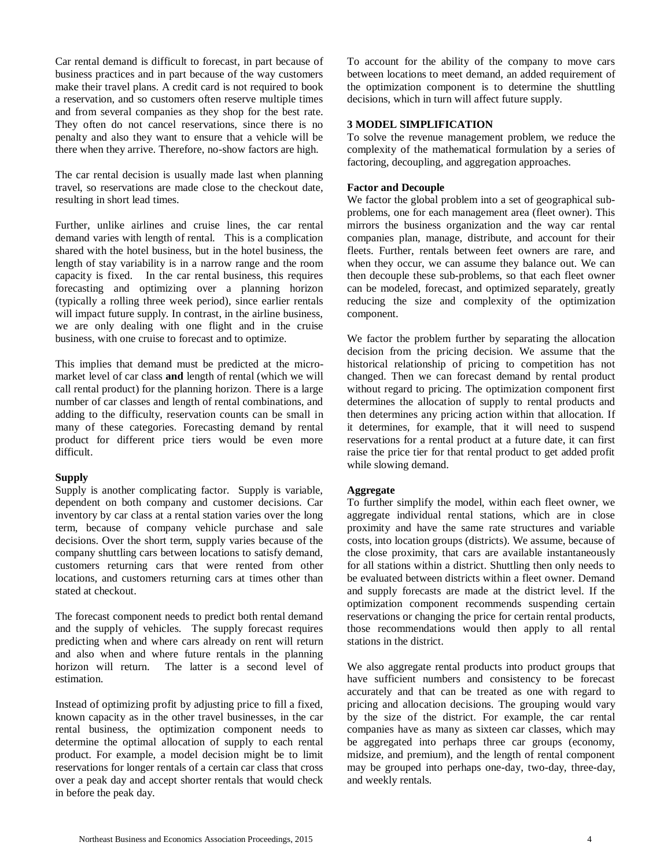Car rental demand is difficult to forecast, in part because of business practices and in part because of the way customers make their travel plans. A credit card is not required to book a reservation, and so customers often reserve multiple times and from several companies as they shop for the best rate. They often do not cancel reservations, since there is no penalty and also they want to ensure that a vehicle will be there when they arrive. Therefore, no-show factors are high.

The car rental decision is usually made last when planning travel, so reservations are made close to the checkout date, resulting in short lead times.

Further, unlike airlines and cruise lines, the car rental demand varies with length of rental. This is a complication shared with the hotel business, but in the hotel business, the length of stay variability is in a narrow range and the room capacity is fixed. In the car rental business, this requires forecasting and optimizing over a planning horizon (typically a rolling three week period), since earlier rentals will impact future supply. In contrast, in the airline business, we are only dealing with one flight and in the cruise business, with one cruise to forecast and to optimize.

This implies that demand must be predicted at the micromarket level of car class **and** length of rental (which we will call rental product) for the planning horizon. There is a large number of car classes and length of rental combinations, and adding to the difficulty, reservation counts can be small in many of these categories. Forecasting demand by rental product for different price tiers would be even more difficult.

#### **Supply**

Supply is another complicating factor. Supply is variable, dependent on both company and customer decisions. Car inventory by car class at a rental station varies over the long term, because of company vehicle purchase and sale decisions. Over the short term, supply varies because of the company shuttling cars between locations to satisfy demand, customers returning cars that were rented from other locations, and customers returning cars at times other than stated at checkout.

The forecast component needs to predict both rental demand and the supply of vehicles. The supply forecast requires predicting when and where cars already on rent will return and also when and where future rentals in the planning horizon will return. The latter is a second level of estimation.

Instead of optimizing profit by adjusting price to fill a fixed, known capacity as in the other travel businesses, in the car rental business, the optimization component needs to determine the optimal allocation of supply to each rental product. For example, a model decision might be to limit reservations for longer rentals of a certain car class that cross over a peak day and accept shorter rentals that would check in before the peak day.

To account for the ability of the company to move cars between locations to meet demand, an added requirement of the optimization component is to determine the shuttling decisions, which in turn will affect future supply.

#### **3 MODEL SIMPLIFICATION**

To solve the revenue management problem, we reduce the complexity of the mathematical formulation by a series of factoring, decoupling, and aggregation approaches.

#### **Factor and Decouple**

We factor the global problem into a set of geographical subproblems, one for each management area (fleet owner). This mirrors the business organization and the way car rental companies plan, manage, distribute, and account for their fleets. Further, rentals between feet owners are rare, and when they occur, we can assume they balance out. We can then decouple these sub-problems, so that each fleet owner can be modeled, forecast, and optimized separately, greatly reducing the size and complexity of the optimization component.

We factor the problem further by separating the allocation decision from the pricing decision. We assume that the historical relationship of pricing to competition has not changed. Then we can forecast demand by rental product without regard to pricing. The optimization component first determines the allocation of supply to rental products and then determines any pricing action within that allocation. If it determines, for example, that it will need to suspend reservations for a rental product at a future date, it can first raise the price tier for that rental product to get added profit while slowing demand.

#### **Aggregate**

To further simplify the model, within each fleet owner, we aggregate individual rental stations, which are in close proximity and have the same rate structures and variable costs, into location groups (districts). We assume, because of the close proximity, that cars are available instantaneously for all stations within a district. Shuttling then only needs to be evaluated between districts within a fleet owner. Demand and supply forecasts are made at the district level. If the optimization component recommends suspending certain reservations or changing the price for certain rental products, those recommendations would then apply to all rental stations in the district.

We also aggregate rental products into product groups that have sufficient numbers and consistency to be forecast accurately and that can be treated as one with regard to pricing and allocation decisions. The grouping would vary by the size of the district. For example, the car rental companies have as many as sixteen car classes, which may be aggregated into perhaps three car groups (economy, midsize, and premium), and the length of rental component may be grouped into perhaps one-day, two-day, three-day, and weekly rentals.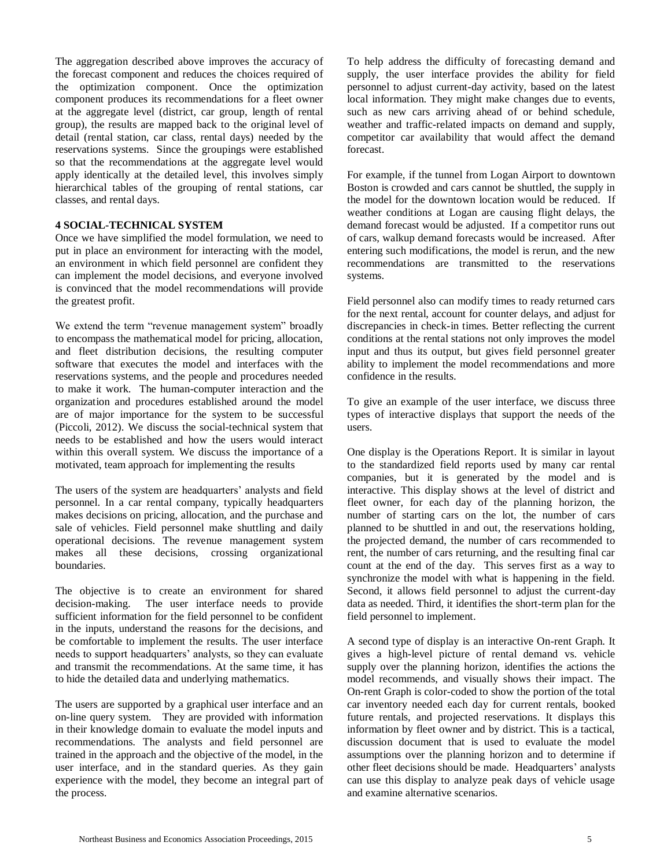The aggregation described above improves the accuracy of the forecast component and reduces the choices required of the optimization component. Once the optimization component produces its recommendations for a fleet owner at the aggregate level (district, car group, length of rental group), the results are mapped back to the original level of detail (rental station, car class, rental days) needed by the reservations systems. Since the groupings were established so that the recommendations at the aggregate level would apply identically at the detailed level, this involves simply hierarchical tables of the grouping of rental stations, car classes, and rental days.

#### **4 SOCIAL-TECHNICAL SYSTEM**

Once we have simplified the model formulation, we need to put in place an environment for interacting with the model, an environment in which field personnel are confident they can implement the model decisions, and everyone involved is convinced that the model recommendations will provide the greatest profit.

We extend the term "revenue management system" broadly to encompass the mathematical model for pricing, allocation, and fleet distribution decisions, the resulting computer software that executes the model and interfaces with the reservations systems, and the people and procedures needed to make it work. The human-computer interaction and the organization and procedures established around the model are of major importance for the system to be successful (Piccoli, 2012). We discuss the social-technical system that needs to be established and how the users would interact within this overall system. We discuss the importance of a motivated, team approach for implementing the results

The users of the system are headquarters' analysts and field personnel. In a car rental company, typically headquarters makes decisions on pricing, allocation, and the purchase and sale of vehicles. Field personnel make shuttling and daily operational decisions. The revenue management system makes all these decisions, crossing organizational boundaries.

The objective is to create an environment for shared decision-making. The user interface needs to provide sufficient information for the field personnel to be confident in the inputs, understand the reasons for the decisions, and be comfortable to implement the results. The user interface needs to support headquarters' analysts, so they can evaluate and transmit the recommendations. At the same time, it has to hide the detailed data and underlying mathematics.

The users are supported by a graphical user interface and an on-line query system. They are provided with information in their knowledge domain to evaluate the model inputs and recommendations. The analysts and field personnel are trained in the approach and the objective of the model, in the user interface, and in the standard queries. As they gain experience with the model, they become an integral part of the process.

To help address the difficulty of forecasting demand and supply, the user interface provides the ability for field personnel to adjust current-day activity, based on the latest local information. They might make changes due to events, such as new cars arriving ahead of or behind schedule, weather and traffic-related impacts on demand and supply, competitor car availability that would affect the demand forecast.

For example, if the tunnel from Logan Airport to downtown Boston is crowded and cars cannot be shuttled, the supply in the model for the downtown location would be reduced. If weather conditions at Logan are causing flight delays, the demand forecast would be adjusted. If a competitor runs out of cars, walkup demand forecasts would be increased. After entering such modifications, the model is rerun, and the new recommendations are transmitted to the reservations systems.

Field personnel also can modify times to ready returned cars for the next rental, account for counter delays, and adjust for discrepancies in check-in times. Better reflecting the current conditions at the rental stations not only improves the model input and thus its output, but gives field personnel greater ability to implement the model recommendations and more confidence in the results.

To give an example of the user interface, we discuss three types of interactive displays that support the needs of the users.

One display is the Operations Report. It is similar in layout to the standardized field reports used by many car rental companies, but it is generated by the model and is interactive. This display shows at the level of district and fleet owner, for each day of the planning horizon, the number of starting cars on the lot, the number of cars planned to be shuttled in and out, the reservations holding, the projected demand, the number of cars recommended to rent, the number of cars returning, and the resulting final car count at the end of the day. This serves first as a way to synchronize the model with what is happening in the field. Second, it allows field personnel to adjust the current-day data as needed. Third, it identifies the short-term plan for the field personnel to implement.

A second type of display is an interactive On-rent Graph. It gives a high-level picture of rental demand vs. vehicle supply over the planning horizon, identifies the actions the model recommends, and visually shows their impact. The On-rent Graph is color-coded to show the portion of the total car inventory needed each day for current rentals, booked future rentals, and projected reservations. It displays this information by fleet owner and by district. This is a tactical, discussion document that is used to evaluate the model assumptions over the planning horizon and to determine if other fleet decisions should be made. Headquarters' analysts can use this display to analyze peak days of vehicle usage and examine alternative scenarios.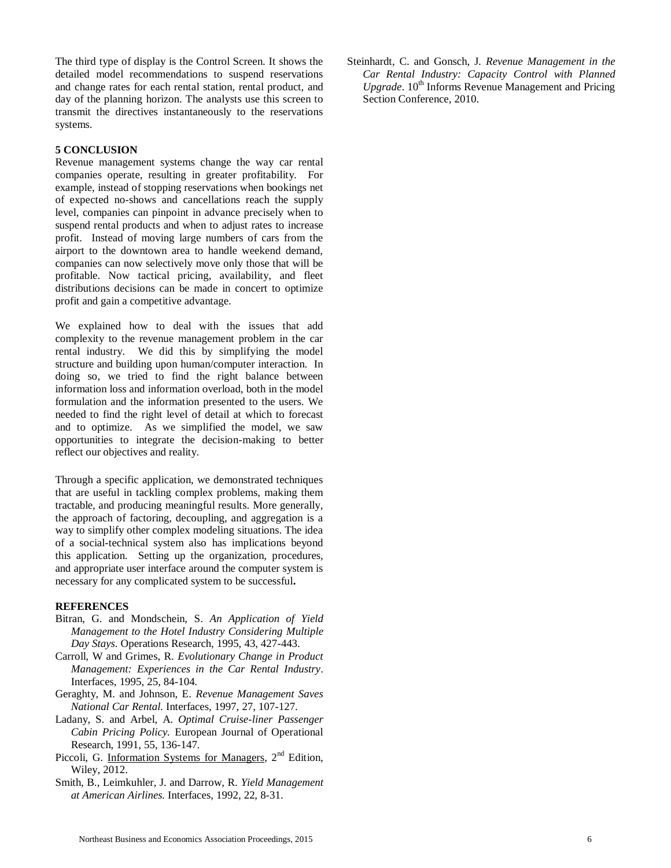The third type of display is the Control Screen. It shows the detailed model recommendations to suspend reservations and change rates for each rental station, rental product, and day of the planning horizon. The analysts use this screen to transmit the directives instantaneously to the reservations systems.

#### **5 CONCLUSION**

Revenue management systems change the way car rental companies operate, resulting in greater profitability. For example, instead of stopping reservations when bookings net of expected no-shows and cancellations reach the supply level, companies can pinpoint in advance precisely when to suspend rental products and when to adjust rates to increase profit. Instead of moving large numbers of cars from the airport to the downtown area to handle weekend demand, companies can now selectively move only those that will be profitable. Now tactical pricing, availability, and fleet distributions decisions can be made in concert to optimize profit and gain a competitive advantage.

We explained how to deal with the issues that add complexity to the revenue management problem in the car rental industry. We did this by simplifying the model structure and building upon human/computer interaction. In doing so, we tried to find the right balance between information loss and information overload, both in the model formulation and the information presented to the users. We needed to find the right level of detail at which to forecast and to optimize. As we simplified the model, we saw opportunities to integrate the decision-making to better reflect our objectives and reality.

Through a specific application, we demonstrated techniques that are useful in tackling complex problems, making them tractable, and producing meaningful results. More generally, the approach of factoring, decoupling, and aggregation is a way to simplify other complex modeling situations. The idea of a social-technical system also has implications beyond this application. Setting up the organization, procedures, and appropriate user interface around the computer system is necessary for any complicated system to be successful**.**

#### **REFERENCES**

- Bitran, G. and Mondschein, S. *An Application of Yield Management to the Hotel Industry Considering Multiple Day Stays*. Operations Research, 1995, 43, 427-443.
- Carroll, W and Grimes, R. *Evolutionary Change in Product Management: Experiences in the Car Rental Industry*. Interfaces, 1995, 25, 84-104.
- Geraghty, M. and Johnson, E. *Revenue Management Saves National Car Rental.* Interfaces, 1997, 27, 107-127.
- Ladany, S. and Arbel, A. *Optimal Cruise-liner Passenger Cabin Pricing Policy.* European Journal of Operational Research, 1991, 55, 136-147.
- Piccoli, G. Information Systems for Managers,  $2<sup>nd</sup>$  Edition, Wiley, 2012.
- Smith, B., Leimkuhler, J. and Darrow, R. *Yield Management at American Airlines.* Interfaces, 1992, 22, 8-31.

Steinhardt, C. and Gonsch, J. *Revenue Management in the Car Rental Industry: Capacity Control with Planned Upgrade*. 10<sup>th</sup> Informs Revenue Management and Pricing Section Conference, 2010.